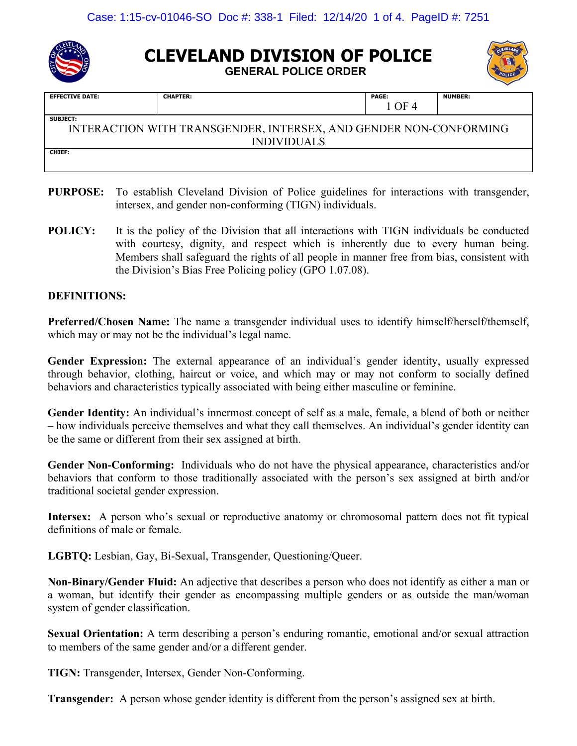

# **CLEVELAND DIVISION OF POLICE**

**GENERAL POLICE ORDER**



| <b>CHAPTER:</b>                                                   | <b>PAGE:</b> | <b>NUMBER:</b> |  |  |
|-------------------------------------------------------------------|--------------|----------------|--|--|
|                                                                   | 1 OF 4       |                |  |  |
| <b>SUBJECT:</b>                                                   |              |                |  |  |
| INTERACTION WITH TRANSGENDER, INTERSEX, AND GENDER NON-CONFORMING |              |                |  |  |
| <b>INDIVIDUALS</b>                                                |              |                |  |  |
| <b>CHIEF:</b>                                                     |              |                |  |  |
|                                                                   |              |                |  |  |
|                                                                   |              |                |  |  |

- **PURPOSE:** To establish Cleveland Division of Police guidelines for interactions with transgender, intersex, and gender non-conforming (TIGN) individuals.
- **POLICY:** It is the policy of the Division that all interactions with TIGN individuals be conducted with courtesy, dignity, and respect which is inherently due to every human being. Members shall safeguard the rights of all people in manner free from bias, consistent with the Division's Bias Free Policing policy (GPO 1.07.08).

# **DEFINITIONS:**

**Preferred/Chosen Name:** The name a transgender individual uses to identify himself/herself/themself, which may or may not be the individual's legal name.

**Gender Expression:** The external appearance of an individual's gender identity, usually expressed through behavior, clothing, haircut or voice, and which may or may not conform to socially defined behaviors and characteristics typically associated with being either masculine or feminine.

**Gender Identity:** An individual's innermost concept of self as a male, female, a blend of both or neither – how individuals perceive themselves and what they call themselves. An individual's gender identity can be the same or different from their sex assigned at birth.

**Gender Non-Conforming:** Individuals who do not have the physical appearance, characteristics and/or behaviors that conform to those traditionally associated with the person's sex assigned at birth and/or traditional societal gender expression.

**Intersex:** A person who's sexual or reproductive anatomy or chromosomal pattern does not fit typical definitions of male or female.

**LGBTQ:** Lesbian, Gay, Bi-Sexual, Transgender, Questioning/Queer.

**Non-Binary/Gender Fluid:** An adjective that describes a person who does not identify as either a man or a woman, but identify their gender as encompassing multiple genders or as outside the man/woman system of gender classification.

**Sexual Orientation:** A term describing a person's enduring romantic, emotional and/or sexual attraction to members of the same gender and/or a different gender.

**TIGN:** Transgender, Intersex, Gender Non-Conforming.

**Transgender:** A person whose gender identity is different from the person's assigned sex at birth.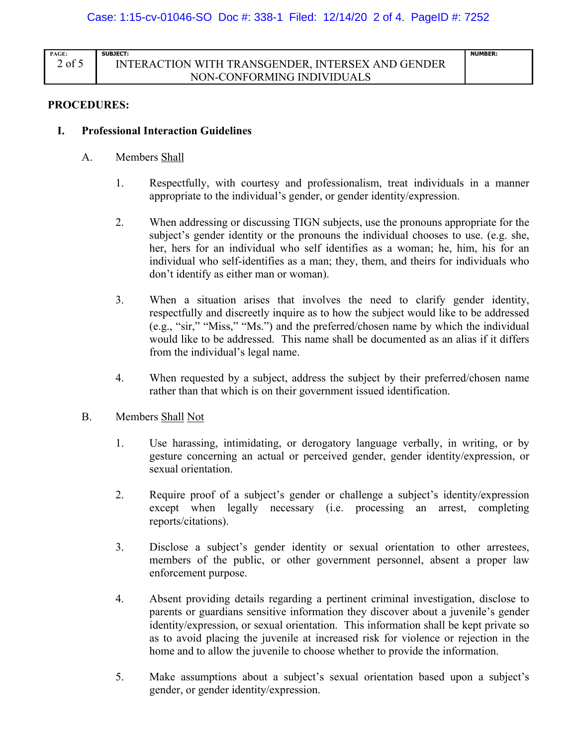| <b>PAGE:</b>  | SUBJECT:                                          | <b>NUMBER:</b> |
|---------------|---------------------------------------------------|----------------|
| $\angle$ of 5 | INTERACTION WITH TRANSGENDER. INTERSEX AND GENDER |                |
|               | NON-CONFORMING INDIVIDUALS                        |                |

#### **PROCEDURES:**

#### **I. Professional Interaction Guidelines**

- A. Members Shall
	- 1. Respectfully, with courtesy and professionalism, treat individuals in a manner appropriate to the individual's gender, or gender identity/expression.
	- 2. When addressing or discussing TIGN subjects, use the pronouns appropriate for the subject's gender identity or the pronouns the individual chooses to use. (e.g. she, her, hers for an individual who self identifies as a woman; he, him, his for an individual who self-identifies as a man; they, them, and theirs for individuals who don't identify as either man or woman).
	- 3. When a situation arises that involves the need to clarify gender identity, respectfully and discreetly inquire as to how the subject would like to be addressed (e.g., "sir," "Miss," "Ms.") and the preferred/chosen name by which the individual would like to be addressed. This name shall be documented as an alias if it differs from the individual's legal name.
	- 4. When requested by a subject, address the subject by their preferred/chosen name rather than that which is on their government issued identification.
- B. Members Shall Not
	- 1. Use harassing, intimidating, or derogatory language verbally, in writing, or by gesture concerning an actual or perceived gender, gender identity/expression, or sexual orientation.
	- 2. Require proof of a subject's gender or challenge a subject's identity/expression except when legally necessary (i.e. processing an arrest, completing reports/citations).
	- 3. Disclose a subject's gender identity or sexual orientation to other arrestees, members of the public, or other government personnel, absent a proper law enforcement purpose.
	- 4. Absent providing details regarding a pertinent criminal investigation, disclose to parents or guardians sensitive information they discover about a juvenile's gender identity/expression, or sexual orientation. This information shall be kept private so as to avoid placing the juvenile at increased risk for violence or rejection in the home and to allow the juvenile to choose whether to provide the information.
	- 5. Make assumptions about a subject's sexual orientation based upon a subject's gender, or gender identity/expression.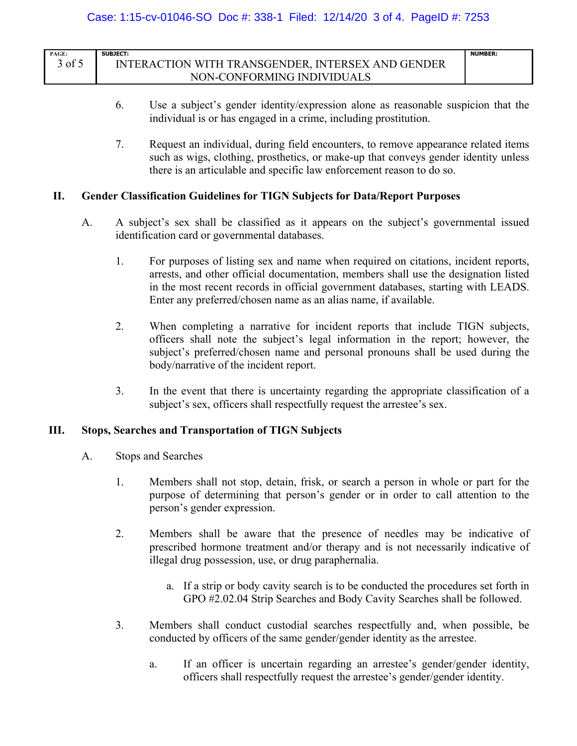| PAGE:  | <b>SUBJECT:</b>                                   | <b>NUMBER:</b> |
|--------|---------------------------------------------------|----------------|
| 3 of 5 | INTERACTION WITH TRANSGENDER. INTERSEX AND GENDER |                |
|        | NON-CONFORMING INDIVIDUALS                        |                |

- 6. Use a subject's gender identity/expression alone as reasonable suspicion that the individual is or has engaged in a crime, including prostitution.
- 7. Request an individual, during field encounters, to remove appearance related items such as wigs, clothing, prosthetics, or make-up that conveys gender identity unless there is an articulable and specific law enforcement reason to do so.

#### **II. Gender Classification Guidelines for TIGN Subjects for Data/Report Purposes**

- A. A subject's sex shall be classified as it appears on the subject's governmental issued identification card or governmental databases.
	- 1. For purposes of listing sex and name when required on citations, incident reports, arrests, and other official documentation, members shall use the designation listed in the most recent records in official government databases, starting with LEADS. Enter any preferred/chosen name as an alias name, if available.
	- 2. When completing a narrative for incident reports that include TIGN subjects, officers shall note the subject's legal information in the report; however, the subject's preferred/chosen name and personal pronouns shall be used during the body/narrative of the incident report.
	- 3. In the event that there is uncertainty regarding the appropriate classification of a subject's sex, officers shall respectfully request the arrestee's sex.

# **III. Stops, Searches and Transportation of TIGN Subjects**

- A. Stops and Searches
	- 1. Members shall not stop, detain, frisk, or search a person in whole or part for the purpose of determining that person's gender or in order to call attention to the person's gender expression.
	- 2. Members shall be aware that the presence of needles may be indicative of prescribed hormone treatment and/or therapy and is not necessarily indicative of illegal drug possession, use, or drug paraphernalia.
		- a. If a strip or body cavity search is to be conducted the procedures set forth in GPO #2.02.04 Strip Searches and Body Cavity Searches shall be followed.
	- 3. Members shall conduct custodial searches respectfully and, when possible, be conducted by officers of the same gender/gender identity as the arrestee.
		- a. If an officer is uncertain regarding an arrestee's gender/gender identity, officers shall respectfully request the arrestee's gender/gender identity.